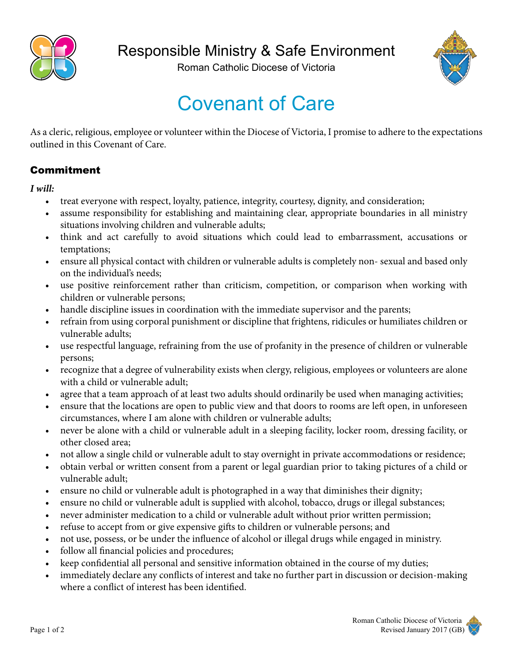

Roman Catholic Diocese of Victoria



## Covenant of Care

As a cleric, religious, employee or volunteer within the Diocese of Victoria, I promise to adhere to the expectations outlined in this Covenant of Care.

## Commitment

*I will:*

- treat everyone with respect, loyalty, patience, integrity, courtesy, dignity, and consideration;
- assume responsibility for establishing and maintaining clear, appropriate boundaries in all ministry situations involving children and vulnerable adults;
- think and act carefully to avoid situations which could lead to embarrassment, accusations or temptations;
- ensure all physical contact with children or vulnerable adults is completely non- sexual and based only on the individual's needs;
- use positive reinforcement rather than criticism, competition, or comparison when working with children or vulnerable persons;
- handle discipline issues in coordination with the immediate supervisor and the parents;
- refrain from using corporal punishment or discipline that frightens, ridicules or humiliates children or vulnerable adults;
- use respectful language, refraining from the use of profanity in the presence of children or vulnerable persons;
- recognize that a degree of vulnerability exists when clergy, religious, employees or volunteers are alone with a child or vulnerable adult;
- agree that a team approach of at least two adults should ordinarily be used when managing activities;
- ensure that the locations are open to public view and that doors to rooms are left open, in unforeseen circumstances, where I am alone with children or vulnerable adults;
- never be alone with a child or vulnerable adult in a sleeping facility, locker room, dressing facility, or other closed area;
- not allow a single child or vulnerable adult to stay overnight in private accommodations or residence;
- obtain verbal or written consent from a parent or legal guardian prior to taking pictures of a child or vulnerable adult;
- ensure no child or vulnerable adult is photographed in a way that diminishes their dignity;
- ensure no child or vulnerable adult is supplied with alcohol, tobacco, drugs or illegal substances;
- never administer medication to a child or vulnerable adult without prior written permission;
- refuse to accept from or give expensive gifts to children or vulnerable persons; and
- not use, possess, or be under the influence of alcohol or illegal drugs while engaged in ministry.
- follow all financial policies and procedures;
- keep confidential all personal and sensitive information obtained in the course of my duties;
- immediately declare any conflicts of interest and take no further part in discussion or decision-making where a conflict of interest has been identified.